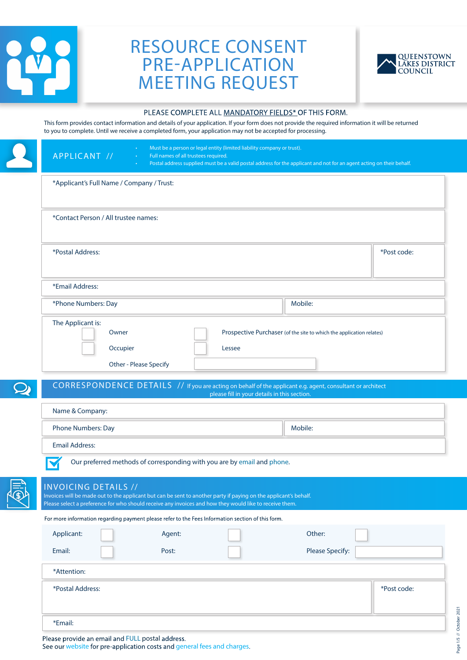

# RESOURCE CONSENT PRE-APPLICATION MEETING REQUEST



#### PLEASE COMPLETE ALL MANDATORY FIELDS\* OF THIS FORM.

This form provides contact information and details of your application. If your form does not provide the required information it will be returned to you to complete. Until we receive a completed form, your application may not be accepted for processing.

|   | Must be a person or legal entity (limited liability company or trust).<br>APPLICANT //<br>Full names of all trustees required.<br>Postal address supplied must be a valid postal address for the applicant and not for an agent acting on their behalf.    |             |
|---|------------------------------------------------------------------------------------------------------------------------------------------------------------------------------------------------------------------------------------------------------------|-------------|
|   | *Applicant's Full Name / Company / Trust:                                                                                                                                                                                                                  |             |
|   | *Contact Person / All trustee names:                                                                                                                                                                                                                       |             |
|   | *Postal Address:                                                                                                                                                                                                                                           | *Post code: |
|   | *Email Address:                                                                                                                                                                                                                                            |             |
|   | Mobile:<br>*Phone Numbers: Day                                                                                                                                                                                                                             |             |
|   | The Applicant is:<br>Owner<br>Prospective Purchaser (of the site to which the application relates)<br>Occupier<br>Lessee<br>Other - Please Specify                                                                                                         |             |
|   | CORRESPONDENCE DETAILS // If you are acting on behalf of the applicant e.g. agent, consultant or architect                                                                                                                                                 |             |
|   | please fill in your details in this section.<br>Name & Company:                                                                                                                                                                                            |             |
|   | Phone Numbers: Day<br>Mobile:                                                                                                                                                                                                                              |             |
|   | <b>Email Address:</b>                                                                                                                                                                                                                                      |             |
|   |                                                                                                                                                                                                                                                            |             |
|   | Our preferred methods of corresponding with you are by email and phone.                                                                                                                                                                                    |             |
| G | <b>INVOICING DETAILS //</b><br>Invoices will be made out to the applicant but can be sent to another party if paying on the applicant's behalf.<br>Please select a preference for who should receive any invoices and how they would like to receive them. |             |
|   | For more information regarding payment please refer to the Fees Information section of this form.                                                                                                                                                          |             |
|   | Other:<br>Applicant:<br>Agent:                                                                                                                                                                                                                             |             |
|   | Email:<br><b>Please Specify:</b><br>Post:                                                                                                                                                                                                                  |             |
|   | *Attention:                                                                                                                                                                                                                                                |             |
|   | *Postal Address:                                                                                                                                                                                                                                           | *Post code: |

Please provide an email and FULL postal address.

See our website for pre-application costs and general fees and charges.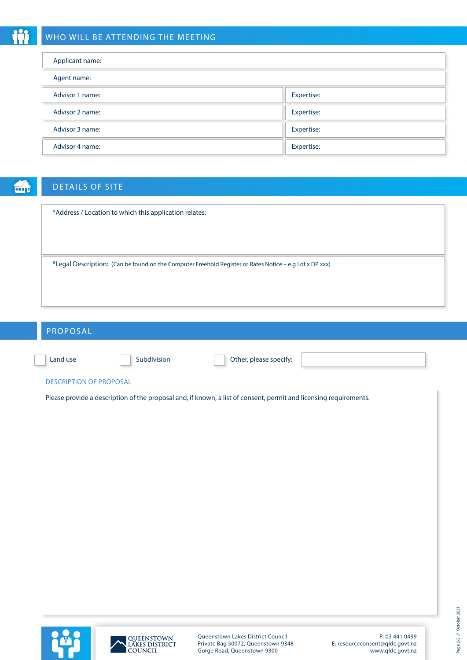# WHO WILL BE ATTENDING THE MEETING

| Applicant name: |            |
|-----------------|------------|
| Agent name:     |            |
| Advisor 1 name: | Expertise: |
| Advisor 2 name: | Expertise: |
| Advisor 3 name: | Expertise: |
| Advisor 4 name: | Expertise: |

命

# DETAILS OF SITE

| *Address / Location to which this application relates:                                                  |
|---------------------------------------------------------------------------------------------------------|
|                                                                                                         |
|                                                                                                         |
| *Legal Description: (Can be found on the Computer Freehold Register or Rates Notice – e.g Lot x DP xxx) |
|                                                                                                         |
|                                                                                                         |

| PROPOSAL                       |             |                                                                                                                   |  |
|--------------------------------|-------------|-------------------------------------------------------------------------------------------------------------------|--|
| Land use                       | Subdivision | Other, please specify:                                                                                            |  |
| <b>DESCRIPTION OF PROPOSAL</b> |             |                                                                                                                   |  |
|                                |             | Please provide a description of the proposal and, if known, a list of consent, permit and licensing requirements. |  |
|                                |             |                                                                                                                   |  |
|                                |             |                                                                                                                   |  |
|                                |             |                                                                                                                   |  |
|                                |             |                                                                                                                   |  |
|                                |             |                                                                                                                   |  |
|                                |             |                                                                                                                   |  |
|                                |             |                                                                                                                   |  |
|                                |             |                                                                                                                   |  |
|                                |             |                                                                                                                   |  |
|                                |             |                                                                                                                   |  |
|                                |             |                                                                                                                   |  |
|                                |             |                                                                                                                   |  |





Queenstown Lakes District Council Private Bag 50072, Queenstown 9348 Gorge Road, Queenstown 9300

P: 03 441 0499 E: resourceconsent@qldc.govt.nz www.qldc.govt.nz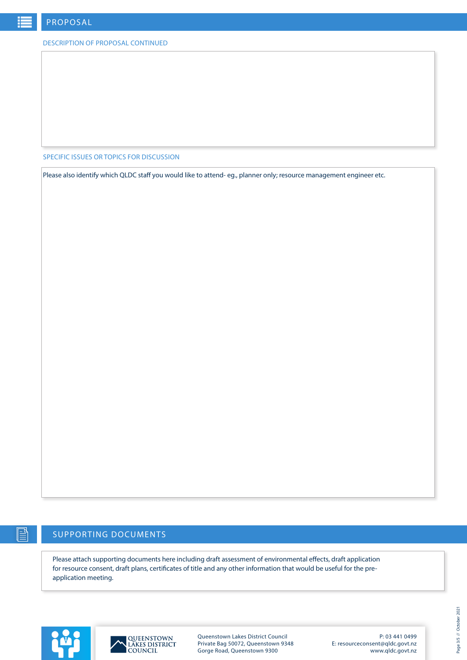#### DESCRIPTION OF PROPOSAL CONTINUED

SPECIFIC ISSUES OR TOPICS FOR DISCUSSION

Please also identify which QLDC staff you would like to attend- eg., planner only; resource management engineer etc.

## SUPPORTING DOCUMENTS

Please attach supporting documents here including draft assessment of environmental effects, draft application for resource consent, draft plans, certificates of title and any other information that would be useful for the preapplication meeting.





Queenstown Lakes District Council Private Bag 50072, Queenstown 9348 Gorge Road, Queenstown 9300

P: 03 441 0499 E: resourceconsent@qldc.govt.nz www.qldc.govt.nz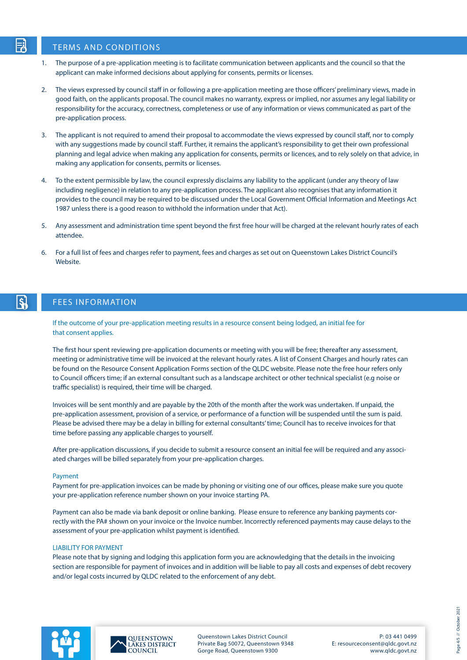### TERMS AND CONDITIONS

ار<br>م

- 1. The purpose of a pre-application meeting is to facilitate communication between applicants and the council so that the applicant can make informed decisions about applying for consents, permits or licenses.
- 2. The views expressed by council staff in or following a pre-application meeting are those officers' preliminary views, made in good faith, on the applicants proposal. The council makes no warranty, express or implied, nor assumes any legal liability or responsibility for the accuracy, correctness, completeness or use of any information or views communicated as part of the pre-application process.
- 3. The applicant is not required to amend their proposal to accommodate the views expressed by council staff, nor to comply with any suggestions made by council staff. Further, it remains the applicant's responsibility to get their own professional planning and legal advice when making any application for consents, permits or licences, and to rely solely on that advice, in making any application for consents, permits or licenses.
- 4. To the extent permissible by law, the council expressly disclaims any liability to the applicant (under any theory of law including negligence) in relation to any pre-application process. The applicant also recognises that any information it provides to the council may be required to be discussed under the Local Government Official Information and Meetings Act 1987 unless there is a good reason to withhold the information under that Act).
- 5. Any assessment and administration time spent beyond the first free hour will be charged at the relevant hourly rates of each attendee.
- 6. For a full list of fees and charges refer to payment, fees and charges as set out on Queenstown Lakes District Council's Website.

#### $\overline{\mathbf{S}}$ FEES INFORMATION

If the outcome of your pre-application meeting results in a resource consent being lodged, an initial fee for that consent applies.

The first hour spent reviewing pre-application documents or meeting with you will be free; thereafter any assessment, meeting or administrative time will be invoiced at the relevant hourly rates. A list of Consent Charges and hourly rates can be found on the Resource Consent Application Forms section of the QLDC website. Please note the free hour refers only to Council officers time; if an external consultant such as a landscape architect or other technical specialist (e.g noise or traffic specialist) is required, their time will be charged.

Invoices will be sent monthly and are payable by the 20th of the month after the work was undertaken. If unpaid, the pre-application assessment, provision of a service, or performance of a function will be suspended until the sum is paid. Please be advised there may be a delay in billing for external consultants' time; Council has to receive invoices for that time before passing any applicable charges to yourself.

After pre-application discussions, if you decide to submit a resource consent an initial fee will be required and any associated charges will be billed separately from your pre-application charges.

#### Payment

Payment for pre-application invoices can be made by phoning or visiting one of our offices, please make sure you quote your pre-application reference number shown on your invoice starting PA.

Payment can also be made via bank deposit or online banking. Please ensure to reference any banking payments correctly with the PA# shown on your invoice or the Invoice number. Incorrectly referenced payments may cause delays to the assessment of your pre-application whilst payment is identified.

#### LIABILITY FOR PAYMENT

Please note that by signing and lodging this application form you are acknowledging that the details in the invoicing section are responsible for payment of invoices and in addition will be liable to pay all costs and expenses of debt recovery and/or legal costs incurred by QLDC related to the enforcement of any debt.





Queenstown Lakes District Council Private Bag 50072, Queenstown 9348 Gorge Road, Queenstown 9300